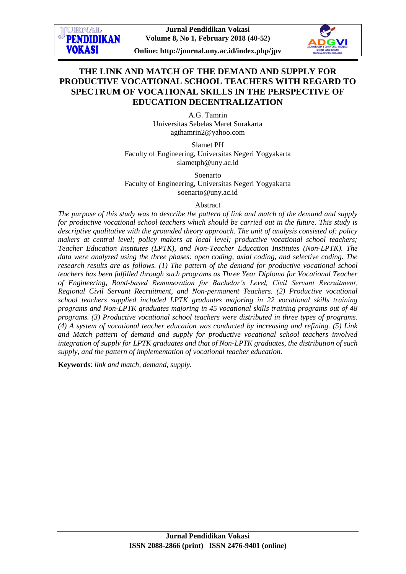**Online: http://journal.uny.ac.id/index.php/jpv**

# **THE LINK AND MATCH OF THE DEMAND AND SUPPLY FOR PRODUCTIVE VOCATIONAL SCHOOL TEACHERS WITH REGARD TO SPECTRUM OF VOCATIONAL SKILLS IN THE PERSPECTIVE OF EDUCATION DECENTRALIZATION**

A.G. Tamrin Universitas Sebelas Maret Surakarta [agthamrin2@yahoo.com](mailto:agthamrin2@yahoo.com)

Slamet PH Faculty of Engineering, Universitas Negeri Yogyakarta [slametph@uny.ac.id](mailto:slametph@uny.ac.id)

Soenarto Faculty of Engineering, Universitas Negeri Yogyakarta [soenarto@uny.ac.id](mailto:soenarto@uny.ac.id)

### Abstract

*The purpose of this study was to describe the pattern of link and match of the demand and supply for productive vocational school teachers which should be carried out in the future. This study is descriptive qualitative with the grounded theory approach. The unit of analysis consisted of: policy makers at central level; policy makers at local level; productive vocational school teachers; Teacher Education Institutes (LPTK), and Non-Teacher Education Institutes (Non-LPTK). The data were analyzed using the three phases: open coding, axial coding, and selective coding. The research results are as follows. (1) The pattern of the demand for productive vocational school teachers has been fulfilled through such programs as Three Year Diploma for Vocational Teacher of Engineering, Bond-based Remuneration for Bachelor's Level, Civil Servant Recruitment, Regional Civil Servant Recruitment, and Non-permanent Teachers. (2) Productive vocational school teachers supplied included LPTK graduates majoring in 22 vocational skills training programs and Non-LPTK graduates majoring in 45 vocational skills training programs out of 48 programs. (3) Productive vocational school teachers were distributed in three types of programs. (4) A system of vocational teacher education was conducted by increasing and refining. (5) Link and Match pattern of demand and supply for productive vocational school teachers involved integration of supply for LPTK graduates and that of Non-LPTK graduates, the distribution of such supply, and the pattern of implementation of vocational teacher education.*

**Keywords**: *link and match, demand, supply.*

**TIPRNAT. PENDIDIKAN** 

**VOKASI**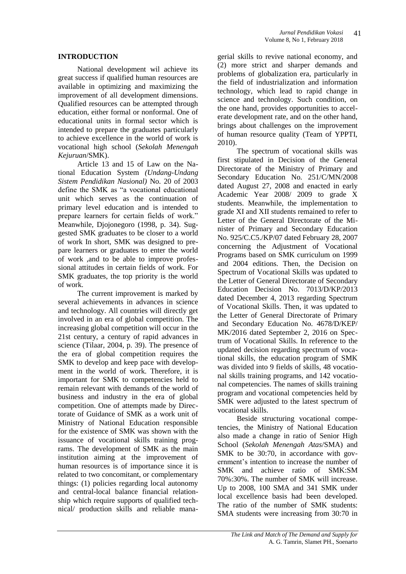### **INTRODUCTION**

National development wil achieve its great success if qualified human resources are available in optimizing and maximizing the improvement of all development dimensions. Qualified resources can be attempted through education, either formal or nonformal. One of educational units in formal sector which is intended to prepare the graduates particularly to achieve excellence in the world of work is vocational high school (*Sekolah Menengah Kejuruan*/SMK).

Article 13 and 15 of Law on the National Education System *(Undang-Undang Sistem Pendidikan Nasional)* No. 20 of 2003 define the SMK as "a vocational educational unit which serves as the continuation of primary level education and is intended to prepare learners for certain fields of work." Meanwhile, Djojonegoro (1998, p. 34). Suggested SMK graduates to be closer to a world of work In short, SMK was designed to prepare learners or graduates to enter the world of work ,and to be able to improve professional attitudes in certain fields of work. For SMK graduates, the top priority is the world of work.

The current improvement is marked by several achievements in advances in science and technology. All countries will directly get involved in an era of global competition. The increasing global competition will occur in the 21st century, a century of rapid advances in science (Tilaar, 2004, p. 39). The presence of the era of global competition requires the SMK to develop and keep pace with development in the world of work. Therefore, it is important for SMK to competencies held to remain relevant with demands of the world of business and industry in the era of global competition. One of attempts made by Directorate of Guidance of SMK as a work unit of Ministry of National Education responsible for the existence of SMK was shown with the issuance of vocational skills training programs. The development of SMK as the main institution aiming at the improvement of human resources is of importance since it is related to two concomitant, or complementary things: (1) policies regarding local autonomy and central-local balance financial relationship which require supports of qualified technical/ production skills and reliable mana-

gerial skills to revive national economy, and (2) more strict and sharper demands and problems of globalization era, particularly in the field of industrialization and information technology, which lead to rapid change in science and technology. Such condition, on the one hand, provides opportunities to accelerate development rate, and on the other hand, brings about challenges on the improvement of human resource quality (Team of YPPTI, 2010).

The spectrum of vocational skills was first stipulated in Decision of the General Directorate of the Ministry of Primary and Secondary Education No. 251/C/MN/2008 dated August 27, 2008 and enacted in early Academic Year 2008/ 2009 to grade X students. Meanwhile, the implementation to grade XI and XII students remained to refer to Letter of the General Directorate of the Minister of Primary and Secondary Education No. 925/C.C5./KP/07 dated February 28, 2007 concerning the Adjustment of Vocational Programs based on SMK curriculum on 1999 and 2004 editions. Then, the Decision on Spectrum of Vocational Skills was updated to the Letter of General Directorate of Secondary Education Decision No. 7013/D/KP/2013 dated December 4, 2013 regarding Spectrum of Vocational Skills. Then, it was updated to the Letter of General Directorate of Primary and Secondary Education No. 4678/D/KEP/ MK/2016 dated September 2, 2016 on Spectrum of Vocational Skills. In reference to the updated decision regarding spectrum of vocational skills, the education program of SMK was divided into 9 fields of skills, 48 vocational skills training programs, and 142 vocational competencies. The names of skills training program and vocational competencies held by SMK were adjusted to the latest spectrum of vocational skills.

Beside structuring vocational competencies, the Ministry of National Education also made a change in ratio of Senior High School (*Sekolah Menengah Atas*/SMA) and SMK to be 30:70, in accordance with government's intention to increase the number of SMK and achieve ratio of SMK:SM 70%:30%. The number of SMK will increase. Up to 2008, 100 SMA and 341 SMK under local excellence basis had been developed. The ratio of the number of SMK students: SMA students were increasing from 30:70 in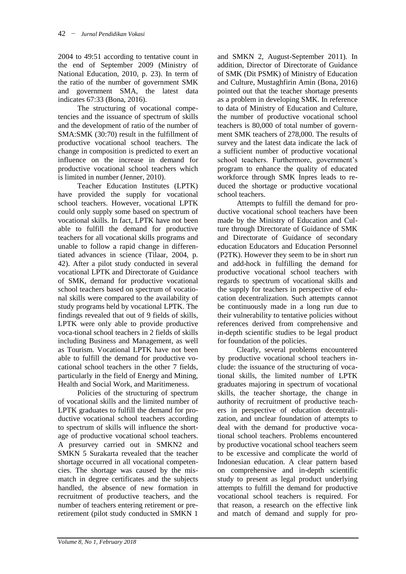2004 to 49:51 according to tentative count in the end of September 2009 (Ministry of National Education, 2010, p. 23). In term of the ratio of the number of government SMK and government SMA, the latest data indicates 67:33 (Bona, 2016).

The structuring of vocational competencies and the issuance of spectrum of skills and the development of ratio of the number of SMA:SMK (30:70) result in the fulfillment of productive vocational school teachers. The change in composition is predicted to exert an influence on the increase in demand for productive vocational school teachers which is limited in number (Jenner, 2010).

Teacher Education Institutes (LPTK) have provided the supply for vocational school teachers. However, vocational LPTK could only supply some based on spectrum of vocational skills. In fact, LPTK have not been able to fulfill the demand for productive teachers for all vocational skills programs and unable to follow a rapid change in differentiated advances in science (Tilaar, 2004, p. 42). After a pilot study conducted in several vocational LPTK and Directorate of Guidance of SMK, demand for productive vocational school teachers based on spectrum of vocational skills were compared to the availability of study programs held by vocational LPTK. The findings revealed that out of 9 fields of skills, LPTK were only able to provide productive voca-tional school teachers in 2 fields of skills including Business and Management, as well as Tourism. Vocational LPTK have not been able to fulfill the demand for productive vocational school teachers in the other 7 fields, particularly in the field of Energy and Mining, Health and Social Work, and Maritimeness.

Policies of the structuring of spectrum of vocational skills and the limited number of LPTK graduates to fulfill the demand for productive vocational school teachers according to spectrum of skills will influence the shortage of productive vocational school teachers. A presurvey carried out in SMKN2 and SMKN 5 Surakarta revealed that the teacher shortage occurred in all vocational competencies. The shortage was caused by the mismatch in degree certificates and the subjects handled, the absence of new formation in recruitment of productive teachers, and the number of teachers entering retirement or preretirement (pilot study conducted in SMKN 1

and SMKN 2, August-September 2011). In addition, Director of Directorate of Guidance of SMK (Dit PSMK) of Ministry of Education and Culture, Mustaghfirin Amin (Bona, 2016) pointed out that the teacher shortage presents as a problem in developing SMK. In reference to data of Ministry of Education and Culture, the number of productive vocational school teachers is 80,000 of total number of government SMK teachers of 278,000. The results of survey and the latest data indicate the lack of a sufficient number of productive vocational school teachers. Furthermore, government's program to enhance the quality of educated workforce through SMK Inpres leads to reduced the shortage or productive vocational school teachers.

Attempts to fulfill the demand for productive vocational school teachers have been made by the Ministry of Education and Culture through Directorate of Guidance of SMK and Directorate of Guidance of secondary education Educators and Education Personnel (P2TK). However they seem to be in short run and add-hock in fulfilling the demand for productive vocational school teachers with regards to spectrum of vocational skills and the supply for teachers in perspective of education decentralization. Such attempts cannot be continuously made in a long run due to their vulnerability to tentative policies without references derived from comprehensive and in-depth scientific studies to be legal product for foundation of the policies.

Clearly, several problems encountered by productive vocational school teachers include: the issuance of the structuring of vocational skills, the limited number of LPTK graduates majoring in spectrum of vocational skills, the teacher shortage, the change in authority of recruitment of productive teachers in perspective of education decentralization, and unclear foundation of attempts to deal with the demand for productive vocational school teachers. Problems encountered by productive vocational school teachers seem to be excessive and complicate the world of Indonesian education. A clear pattern based on comprehensive and in-depth scientific study to present as legal product underlying attempts to fulfill the demand for productive vocational school teachers is required. For that reason, a research on the effective link and match of demand and supply for pro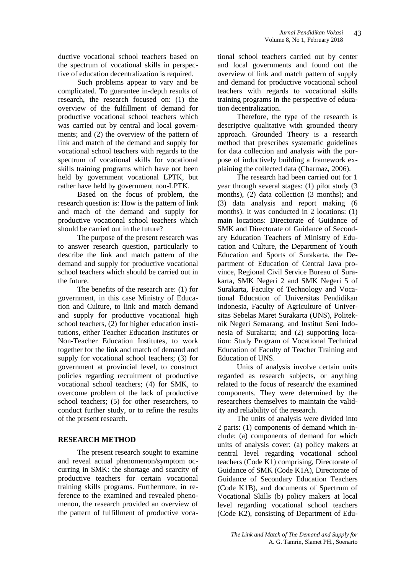ductive vocational school teachers based on the spectrum of vocational skills in perspective of education decentralization is required.

Such problems appear to vary and be complicated. To guarantee in-depth results of research, the research focused on: (1) the overview of the fulfillment of demand for productive vocational school teachers which was carried out by central and local governments; and (2) the overview of the pattern of link and match of the demand and supply for vocational school teachers with regards to the spectrum of vocational skills for vocational skills training programs which have not been held by government vocational LPTK, but rather have held by government non-LPTK.

Based on the focus of problem, the research question is: How is the pattern of link and mach of the demand and supply for productive vocational school teachers which should be carried out in the future?

The purpose of the present research was to answer research question, particularly to describe the link and match pattern of the demand and supply for productive vocational school teachers which should be carried out in the future.

The benefits of the research are: (1) for government, in this case Ministry of Education and Culture, to link and match demand and supply for productive vocational high school teachers, (2) for higher education institutions, either Teacher Education Institutes or Non-Teacher Education Institutes, to work together for the link and match of demand and supply for vocational school teachers; (3) for government at provincial level, to construct policies regarding recruitment of productive vocational school teachers; (4) for SMK, to overcome problem of the lack of productive school teachers; (5) for other researchers, to conduct further study, or to refine the results of the present research.

## **RESEARCH METHOD**

The present research sought to examine and reveal actual phenomenon/symptom occurring in SMK: the shortage and scarcity of productive teachers for certain vocational training skills programs. Furthermore, in reference to the examined and revealed phenomenon, the research provided an overview of the pattern of fulfillment of productive vocational school teachers carried out by center and local governments and found out the overview of link and match pattern of supply and demand for productive vocational school teachers with regards to vocational skills training programs in the perspective of education decentralization.

Therefore, the type of the research is descriptive qualitative with grounded theory approach. Grounded Theory is a research method that prescribes systematic guidelines for data collection and analysis with the purpose of inductively building a framework explaining the collected data (Charmaz, 2006).

The research had been carried out for 1 year through several stages: (1) pilot study (3 months), (2) data collection (3 months); and (3) data analysis and report making (6 months). It was conducted in 2 locations: (1) main locations: Directorate of Guidance of SMK and Directorate of Guidance of Secondary Education Teachers of Ministry of Education and Culture, the Department of Youth Education and Sports of Surakarta, the Department of Education of Central Java province, Regional Civil Service Bureau of Surakarta, SMK Negeri 2 and SMK Negeri 5 of Surakarta, Faculty of Technology and Vocational Education of Universitas Pendidikan Indonesia, Faculty of Agriculture of Universitas Sebelas Maret Surakarta (UNS), Politeknik Negeri Semarang, and Institut Seni Indonesia of Surakarta; and (2) supporting location: Study Program of Vocational Technical Education of Faculty of Teacher Training and Education of UNS.

Units of analysis involve certain units regarded as research subjects, or anything related to the focus of research/ the examined components. They were determined by the researchers themselves to maintain the validity and reliability of the research.

The units of analysis were divided into 2 parts: (1) components of demand which include: (a) components of demand for which units of analysis cover: (a) policy makers at central level regarding vocational school teachers (Code K1) comprising, Directorate of Guidance of SMK (Code K1A), Directorate of Guidance of Secondary Education Teachers (Code K1B), and documents of Spectrum of Vocational Skills (b) policy makers at local level regarding vocational school teachers (Code K2), consisting of Department of Edu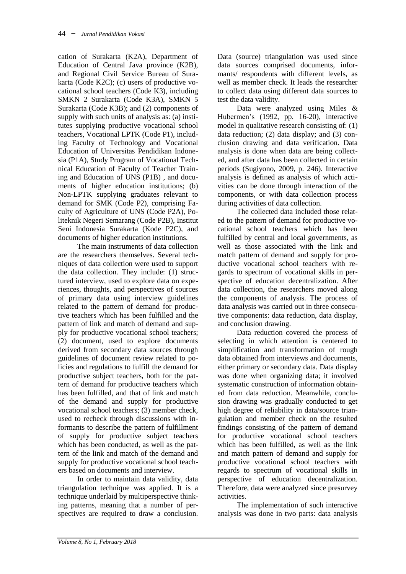cation of Surakarta (K2A), Department of Education of Central Java province (K2B), and Regional Civil Service Bureau of Surakarta (Code K2C); (c) users of productive vocational school teachers (Code K3), including SMKN 2 Surakarta (Code K3A), SMKN 5 Surakarta (Code K3B); and (2) components of supply with such units of analysis as: (a) institutes supplying productive vocational school teachers, Vocational LPTK (Code P1), including Faculty of Technology and Vocational Education of Universitas Pendidikan Indonesia (P1A), Study Program of Vocational Technical Education of Faculty of Teacher Training and Education of UNS (P1B) , and documents of higher education institutions; (b) Non-LPTK supplying graduates relevant to demand for SMK (Code P2), comprising Faculty of Agriculture of UNS (Code P2A), Politeknik Negeri Semarang (Code P2B), Institut Seni Indonesia Surakarta (Kode P2C), and documents of higher education institutions.

The main instruments of data collection are the researchers themselves. Several techniques of data collection were used to support the data collection. They include: (1) structured interview, used to explore data on experiences, thoughts, and perspectives of sources of primary data using interview guidelines related to the pattern of demand for productive teachers which has been fulfilled and the pattern of link and match of demand and supply for productive vocational school teachers; (2) document, used to explore documents derived from secondary data sources through guidelines of document review related to policies and regulations to fulfill the demand for productive subject teachers, both for the pattern of demand for productive teachers which has been fulfilled, and that of link and match of the demand and supply for productive vocational school teachers; (3) member check, used to recheck through discussions with informants to describe the pattern of fulfillment of supply for productive subject teachers which has been conducted, as well as the pattern of the link and match of the demand and supply for productive vocational school teachers based on documents and interview.

In order to maintain data validity, data triangulation technique was applied. It is a technique underlaid by multiperspective thinking patterns, meaning that a number of perspectives are required to draw a conclusion. Data (source) triangulation was used since data sources comprised documents, informants/ respondents with different levels, as well as member check. It leads the researcher to collect data using different data sources to test the data validity.

Data were analyzed using Miles & Hubermen's (1992, pp. 16-20), interactive model in qualitative research consisting of: (1) data reduction; (2) data display; and (3) conclusion drawing and data verification. Data analysis is done when data are being collected, and after data has been collected in certain periods (Sugiyono, 2009, p. 246). Interactive analysis is defined as analysis of which activities can be done through interaction of the components, or with data collection process during activities of data collection.

The collected data included those related to the pattern of demand for productive vocational school teachers which has been fulfilled by central and local governments, as well as those associated with the link and match pattern of demand and supply for productive vocational school teachers with regards to spectrum of vocational skills in perspective of education decentralization. After data collection, the researchers moved along the components of analysis. The process of data analysis was carried out in three consecutive components: data reduction, data display, and conclusion drawing.

Data reduction covered the process of selecting in which attention is centered to simplification and transformation of rough data obtained from interviews and documents, either primary or secondary data. Data display was done when organizing data; it involved systematic construction of information obtained from data reduction. Meanwhile, conclusion drawing was gradually conducted to get high degree of reliability in data/source triangulation and member check on the resulted findings consisting of the pattern of demand for productive vocational school teachers which has been fulfilled, as well as the link and match pattern of demand and supply for productive vocational school teachers with regards to spectrum of vocational skills in perspective of education decentralization. Therefore, data were analyzed since presurvey activities.

The implementation of such interactive analysis was done in two parts: data analysis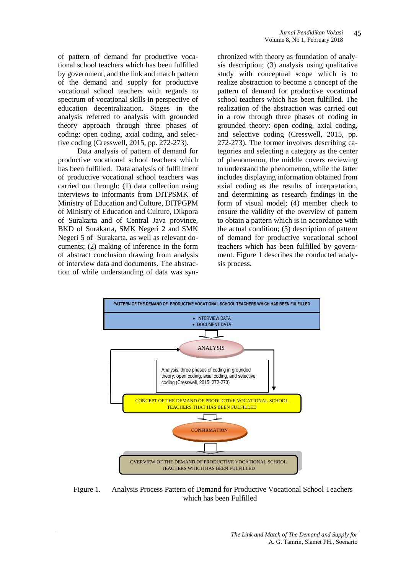of pattern of demand for productive vocational school teachers which has been fulfilled by government, and the link and match pattern of the demand and supply for productive vocational school teachers with regards to spectrum of vocational skills in perspective of education decentralization. Stages in the analysis referred to analysis with grounded theory approach through three phases of coding: open coding, axial coding, and selective coding (Cresswell, 2015, pp. 272-273).

Data analysis of pattern of demand for productive vocational school teachers which has been fulfilled. Data analysis of fulfillment of productive vocational school teachers was carried out through: (1) data collection using interviews to informants from DITPSMK of Ministry of Education and Culture, DITPGPM of Ministry of Education and Culture, Dikpora of Surakarta and of Central Java province, BKD of Surakarta, SMK Negeri 2 and SMK Negeri 5 of Surakarta, as well as relevant documents; (2) making of inference in the form of abstract conclusion drawing from analysis of interview data and documents. The abstraction of while understanding of data was synchronized with theory as foundation of analysis description; (3) analysis using qualitative study with conceptual scope which is to realize abstraction to become a concept of the pattern of demand for productive vocational school teachers which has been fulfilled. The realization of the abstraction was carried out in a row through three phases of coding in grounded theory: open coding, axial coding, and selective coding (Cresswell, 2015, pp. 272-273). The former involves describing categories and selecting a category as the center of phenomenon, the middle covers reviewing to understand the phenomenon, while the latter includes displaying information obtained from axial coding as the results of interpretation, and determining as research findings in the form of visual model; (4) member check to ensure the validity of the overview of pattern to obtain a pattern which is in accordance with the actual condition; (5) description of pattern of demand for productive vocational school teachers which has been fulfilled by government. Figure 1 describes the conducted analysis process.



Figure 1. Analysis Process Pattern of Demand for Productive Vocational School Teachers which has been Fulfilled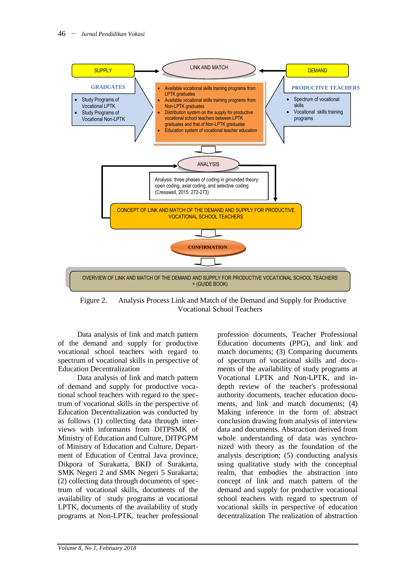

Figure 2. Analysis Process Link and Match of the Demand and Supply for Productive Vocational School Teachers

Data analysis of link and match pattern of the demand and supply for productive vocational school teachers with regard to spectrum of vocational skills in perspective of Education Decentralization

Data analysis of link and match pattern of demand and supply for productive vocational school teachers with regard to the spectrum of vocational skills in the perspective of Education Decentralization was conducted by as follows (1) collecting data through interviews with informants from DITPSMK of Ministry of Education and Culture, DITPGPM of Ministry of Education and Culture, Department of Education of Central Java province, Dikpora of Surakarta, BKD of Surakarta, SMK Negeri 2 and SMK Negeri 5 Surakarta; (2) collecting data through documents of spectrum of vocational skills, documents of the availability of study programs at vocational LPTK, documents of the availability of study programs at Non-LPTK, teacher professional

profession documents, Teacher Professional Education documents (PPG), and link and match documents; (3) Comparing documents of spectrum of vocational skills and documents of the availability of study programs at Vocational LPTK and Non-LPTK, and indepth review of the teacher's professional authority documents, teacher education documents, and link and match documents; (4) Making inference in the form of abstract conclusion drawing from analysis of interview data and documents. Abstraction derived from whole understanding of data was synchronized with theory as the foundation of the analysis description; (5) conducting analysis using qualitative study with the conceptual realm, that embodies the abstraction into concept of link and match pattern of the demand and supply for productive vocational school teachers with regard to spectrum of vocational skills in perspective of education decentralization The realization of abstraction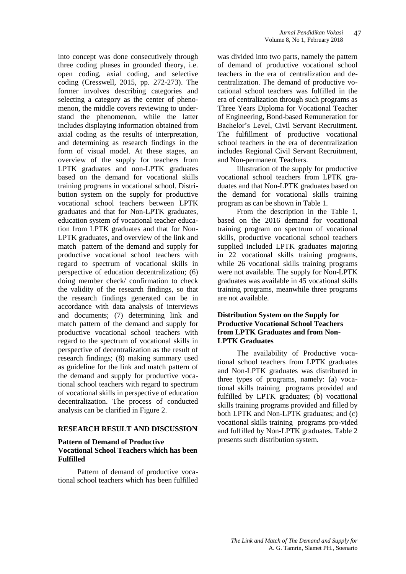into concept was done consecutively through three coding phases in grounded theory, i.e. open coding, axial coding, and selective coding (Cresswell, 2015, pp. 272-273). The former involves describing categories and selecting a category as the center of phenomenon, the middle covers reviewing to understand the phenomenon, while the latter includes displaying information obtained from axial coding as the results of interpretation, and determining as research findings in the form of visual model. At these stages, an overview of the supply for teachers from LPTK graduates and non-LPTK graduates based on the demand for vocational skills training programs in vocational school. Distribution system on the supply for productive vocational school teachers between LPTK graduates and that for Non-LPTK graduates, education system of vocational teacher education from LPTK graduates and that for Non-LPTK graduates, and overview of the link and match pattern of the demand and supply for productive vocational school teachers with regard to spectrum of vocational skills in perspective of education decentralization; (6) doing member check/ confirmation to check the validity of the research findings, so that the research findings generated can be in accordance with data analysis of interviews and documents; (7) determining link and match pattern of the demand and supply for productive vocational school teachers with regard to the spectrum of vocational skills in perspective of decentralization as the result of research findings; (8) making summary used as guideline for the link and match pattern of the demand and supply for productive vocational school teachers with regard to spectrum of vocational skills in perspective of education decentralization. The process of conducted analysis can be clarified in Figure 2.

#### **RESEARCH RESULT AND DISCUSSION**

#### **Pattern of Demand of Productive Vocational School Teachers which has been Fulfilled**

Pattern of demand of productive vocational school teachers which has been fulfilled was divided into two parts, namely the pattern of demand of productive vocational school teachers in the era of centralization and decentralization. The demand of productive vocational school teachers was fulfilled in the era of centralization through such programs as Three Years Diploma for Vocational Teacher of Engineering, Bond-based Remuneration for Bachelor's Level, Civil Servant Recruitment. The fulfillment of productive vocational school teachers in the era of decentralization includes Regional Civil Servant Recruitment, and Non-permanent Teachers.

Illustration of the supply for productive vocational school teachers from LPTK graduates and that Non-LPTK graduates based on the demand for vocational skills training program as can be shown in Table 1.

From the description in the Table 1, based on the 2016 demand for vocational training program on spectrum of vocational skills, productive vocational school teachers supplied included LPTK graduates majoring in 22 vocational skills training programs, while 26 vocational skills training programs were not available. The supply for Non-LPTK graduates was available in 45 vocational skills training programs, meanwhile three programs are not available.

### **Distribution System on the Supply for Productive Vocational School Teachers from LPTK Graduates and from Non-LPTK Graduates**

The availability of Productive vocational school teachers from LPTK graduates and Non-LPTK graduates was distributed in three types of programs, namely: (a) vocational skills training programs provided and fulfilled by LPTK graduates; (b) vocational skills training programs provided and filled by both LPTK and Non-LPTK graduates; and (c) vocational skills training programs pro-vided and fulfilled by Non-LPTK graduates. Table 2 presents such distribution system.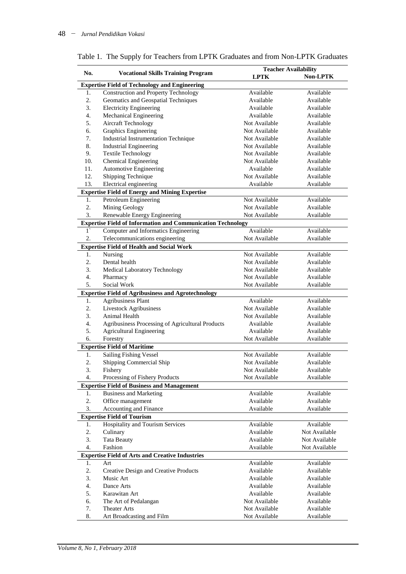|                                                        | <b>Vocational Skills Training Program</b>                          | <b>Teacher Availability</b> |               |  |
|--------------------------------------------------------|--------------------------------------------------------------------|-----------------------------|---------------|--|
| No.                                                    |                                                                    | <b>LPTK</b>                 | Non-LPTK      |  |
| <b>Expertise Field of Technology and Engineering</b>   |                                                                    |                             |               |  |
| 1.                                                     | <b>Construction and Property Technology</b>                        | Available                   | Available     |  |
| 2.                                                     | Geomatics and Geospatial Techniques                                | Available                   | Available     |  |
| 3.                                                     | <b>Electricity Engineering</b>                                     | Available                   | Available     |  |
| 4.                                                     | Mechanical Engineering                                             | Available                   | Available     |  |
| 5.                                                     | <b>Aircraft Technology</b>                                         | Not Available               | Available     |  |
| 6.                                                     | Graphics Engineering                                               | Not Available               | Available     |  |
| 7.                                                     | <b>Industrial Instrumentation Technique</b>                        | Not Available               | Available     |  |
| 8.                                                     | <b>Industrial Engineering</b>                                      | Not Available               | Available     |  |
| 9.                                                     | <b>Textile Technology</b>                                          | Not Available               | Available     |  |
| 10.                                                    | Chemical Engineering                                               | Not Available               | Available     |  |
| 11.                                                    | Automotive Engineering                                             | Available                   | Available     |  |
| 12.                                                    | Shipping Technique                                                 | Not Available               | Available     |  |
| 13.                                                    | Electrical engineering                                             | Available                   | Available     |  |
| <b>Expertise Field of Energy and Mining Expertise</b>  |                                                                    |                             |               |  |
| 1.                                                     | Petroleum Engineering                                              | Not Available               | Available     |  |
| 2.                                                     | Mining Geology                                                     | Not Available               | Available     |  |
| 3.                                                     | Renewable Energy Engineering                                       | Not Available               | Available     |  |
|                                                        | <b>Expertise Field of Information and Communication Technology</b> |                             |               |  |
| $1^{\circ}$                                            | Computer and Informatics Engineering                               | Available                   | Available     |  |
| 2.                                                     | Telecommunications engineering                                     | Not Available               | Available     |  |
|                                                        | <b>Expertise Field of Health and Social Work</b>                   |                             |               |  |
| 1.                                                     | Nursing                                                            | Not Available               | Available     |  |
| 2.                                                     | Dental health                                                      | Not Available               | Available     |  |
| 3.                                                     | Medical Laboratory Technology                                      | Not Available               | Available     |  |
| 4.                                                     | Pharmacy                                                           | Not Available               | Available     |  |
| 5.                                                     | Social Work                                                        | Not Available               | Available     |  |
|                                                        | <b>Expertise Field of Agribusiness and Agrotechnology</b>          |                             |               |  |
| 1.                                                     | <b>Agribusiness Plant</b>                                          | Available                   | Available     |  |
| 2.                                                     | Livestock Agribusiness                                             | Not Available               | Available     |  |
| 3.                                                     | Animal Health                                                      | Not Available               | Available     |  |
| 4.                                                     | Agribusiness Processing of Agricultural Products                   | Available                   | Available     |  |
| 5.                                                     | <b>Agricultural Engineering</b>                                    | Available                   | Available     |  |
| 6.                                                     | Forestry                                                           | Not Available               | Available     |  |
|                                                        | <b>Expertise Field of Maritime</b>                                 |                             |               |  |
| 1.                                                     | <b>Sailing Fishing Vessel</b>                                      | Not Available               | Available     |  |
| 2.                                                     | Shipping Commercial Ship                                           | Not Available               | Available     |  |
| 3.                                                     | Fishery                                                            | Not Available               | Available     |  |
| 4.                                                     | Processing of Fishery Products                                     | Not Available               | Available     |  |
|                                                        | <b>Expertise Field of Business and Management</b>                  |                             |               |  |
| 1.                                                     | <b>Business and Marketing</b>                                      | Available                   | Available     |  |
| 2.                                                     | Office management                                                  | Available                   | Available     |  |
| 3.                                                     | Accounting and Finance                                             | Available                   | Available     |  |
| <b>Expertise Field of Tourism</b>                      |                                                                    |                             |               |  |
| 1.                                                     | Hospitality and Tourism Services                                   | Available                   | Available     |  |
| 2.                                                     | Culinary                                                           | Available                   | Not Available |  |
| 3.                                                     | <b>Tata Beauty</b>                                                 | Available                   | Not Available |  |
| 4.                                                     | Fashion                                                            | Available                   | Not Available |  |
| <b>Expertise Field of Arts and Creative Industries</b> |                                                                    |                             |               |  |
| 1.                                                     | Art                                                                | Available                   | Available     |  |
| 2.                                                     | Creative Design and Creative Products                              | Available                   | Available     |  |
| 3.                                                     | Music Art                                                          | Available                   | Available     |  |
| 4.                                                     | Dance Arts                                                         | Available                   | Available     |  |
| 5.                                                     | Karawitan Art                                                      | Available                   | Available     |  |
| 6.                                                     | The Art of Pedalangan                                              | Not Available               | Available     |  |
| 7.                                                     | <b>Theater Arts</b>                                                | Not Available               | Available     |  |
| 8.                                                     | Art Broadcasting and Film                                          | Not Available               | Available     |  |

Table 1. The Supply for Teachers from LPTK Graduates and from Non-LPTK Graduates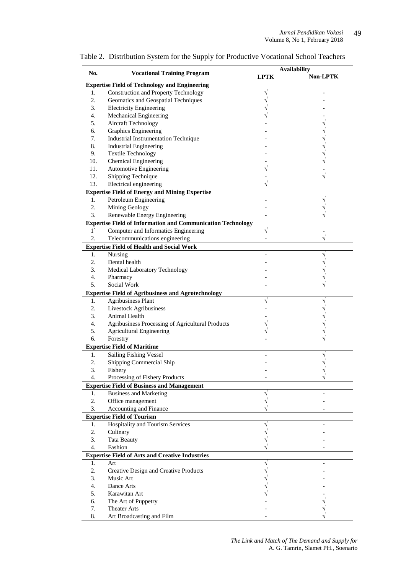| No.                                                    | <b>Vocational Training Program</b>                                 | <b>Availability</b> |          |  |  |  |
|--------------------------------------------------------|--------------------------------------------------------------------|---------------------|----------|--|--|--|
|                                                        |                                                                    | <b>LPTK</b>         | Non-LPTK |  |  |  |
|                                                        | <b>Expertise Field of Technology and Engineering</b>               |                     |          |  |  |  |
| 1.                                                     | <b>Construction and Property Technology</b>                        | V                   |          |  |  |  |
| 2.                                                     | Geomatics and Geospatial Techniques                                |                     |          |  |  |  |
| 3.                                                     | <b>Electricity Engineering</b>                                     |                     |          |  |  |  |
| 4.                                                     | Mechanical Engineering                                             |                     |          |  |  |  |
| 5.                                                     | Aircraft Technology                                                |                     |          |  |  |  |
| 6.                                                     | Graphics Engineering                                               |                     |          |  |  |  |
| 7.                                                     | <b>Industrial Instrumentation Technique</b>                        |                     |          |  |  |  |
| 8.                                                     | <b>Industrial Engineering</b>                                      |                     |          |  |  |  |
| 9.                                                     | <b>Textile Technology</b>                                          |                     |          |  |  |  |
| 10.                                                    | Chemical Engineering                                               |                     |          |  |  |  |
| 11.                                                    | Automotive Engineering                                             |                     |          |  |  |  |
| 12.                                                    | Shipping Technique                                                 |                     |          |  |  |  |
| 13.                                                    | Electrical engineering                                             |                     |          |  |  |  |
|                                                        | <b>Expertise Field of Energy and Mining Expertise</b>              |                     |          |  |  |  |
| 1.                                                     | Petroleum Engineering                                              |                     |          |  |  |  |
| 2.                                                     | Mining Geology                                                     |                     |          |  |  |  |
| 3.                                                     | Renewable Energy Engineering                                       |                     |          |  |  |  |
|                                                        | <b>Expertise Field of Information and Communication Technology</b> |                     |          |  |  |  |
| $1^{\circ}$                                            | Computer and Informatics Engineering                               |                     |          |  |  |  |
| 2.                                                     | Telecommunications engineering                                     |                     |          |  |  |  |
|                                                        | <b>Expertise Field of Health and Social Work</b>                   |                     |          |  |  |  |
| 1.                                                     | Nursing                                                            |                     |          |  |  |  |
| 2.                                                     | Dental health                                                      |                     |          |  |  |  |
| 3.                                                     | Medical Laboratory Technology                                      |                     |          |  |  |  |
| $\overline{4}$ .                                       | Pharmacy                                                           |                     |          |  |  |  |
| 5.                                                     | Social Work                                                        |                     |          |  |  |  |
|                                                        | <b>Expertise Field of Agribusiness and Agrotechnology</b>          |                     |          |  |  |  |
| 1.                                                     | <b>Agribusiness Plant</b>                                          |                     |          |  |  |  |
| 2.                                                     | Livestock Agribusiness                                             |                     |          |  |  |  |
| 3.                                                     | Animal Health                                                      |                     |          |  |  |  |
| 4.                                                     | Agribusiness Processing of Agricultural Products                   |                     |          |  |  |  |
| 5.                                                     | <b>Agricultural Engineering</b>                                    |                     |          |  |  |  |
| 6.                                                     | Forestry                                                           |                     |          |  |  |  |
|                                                        | <b>Expertise Field of Maritime</b>                                 |                     |          |  |  |  |
| 1.                                                     | <b>Sailing Fishing Vessel</b>                                      |                     |          |  |  |  |
| 2.                                                     | Shipping Commercial Ship                                           |                     |          |  |  |  |
| 3.                                                     | Fishery                                                            |                     |          |  |  |  |
| 4.                                                     | Processing of Fishery Products                                     |                     |          |  |  |  |
|                                                        | <b>Expertise Field of Business and Management</b>                  |                     |          |  |  |  |
| 1.                                                     | <b>Business and Marketing</b>                                      |                     |          |  |  |  |
| 2.                                                     | Office management                                                  |                     |          |  |  |  |
| 3.                                                     | Accounting and Finance                                             |                     |          |  |  |  |
| <b>Expertise Field of Tourism</b>                      |                                                                    |                     |          |  |  |  |
| 1.                                                     | <b>Hospitality and Tourism Services</b>                            |                     |          |  |  |  |
| 2.                                                     | Culinary                                                           |                     |          |  |  |  |
| 3.                                                     | <b>Tata Beauty</b>                                                 |                     |          |  |  |  |
| 4.                                                     | Fashion                                                            |                     |          |  |  |  |
| <b>Expertise Field of Arts and Creative Industries</b> |                                                                    |                     |          |  |  |  |
| 1.                                                     | Art                                                                |                     |          |  |  |  |
| 2.                                                     | Creative Design and Creative Products                              |                     |          |  |  |  |
| 3.                                                     | Music Art                                                          |                     |          |  |  |  |
| 4.                                                     | Dance Arts                                                         |                     |          |  |  |  |
| 5.                                                     | Karawitan Art                                                      |                     |          |  |  |  |
| 6.                                                     | The Art of Puppetry                                                |                     |          |  |  |  |
| 7.                                                     | <b>Theater Arts</b>                                                |                     |          |  |  |  |
| 8.                                                     | Art Broadcasting and Film                                          |                     |          |  |  |  |

Table 2. Distribution System for the Supply for Productive Vocational School Teachers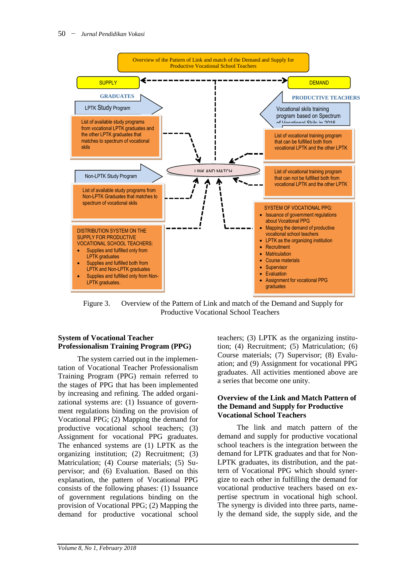

Figure 3. Overview of the Pattern of Link and match of the Demand and Supply for Productive Vocational School Teachers

### **System of Vocational Teacher Professionalism Training Program (PPG)**

The system carried out in the implementation of Vocational Teacher Professionalism Training Program (PPG) remain referred to the stages of PPG that has been implemented by increasing and refining. The added organizational systems are: (1) Issuance of government regulations binding on the provision of Vocational PPG; (2) Mapping the demand for productive vocational school teachers; (3) Assignment for vocational PPG graduates. The enhanced systems are (1) LPTK as the organizing institution; (2) Recruitment; (3) Matriculation; (4) Course materials; (5) Supervisor; and (6) Evaluation. Based on this explanation, the pattern of Vocational PPG consists of the following phases: (1) Issuance of government regulations binding on the provision of Vocational PPG; (2) Mapping the demand for productive vocational school

teachers; (3) LPTK as the organizing institution; (4) Recruitment; (5) Matriculation; (6) Course materials; (7) Supervisor; (8) Evaluation; and (9) Assignment for vocational PPG graduates. All activities mentioned above are a series that become one unity.

#### **Overview of the Link and Match Pattern of the Demand and Supply for Productive Vocational School Teachers**

The link and match pattern of the demand and supply for productive vocational school teachers is the integration between the demand for LPTK graduates and that for Non-LPTK graduates, its distribution, and the pattern of Vocational PPG which should synergize to each other in fulfilling the demand for vocational productive teachers based on expertise spectrum in vocational high school. The synergy is divided into three parts, namely the demand side, the supply side, and the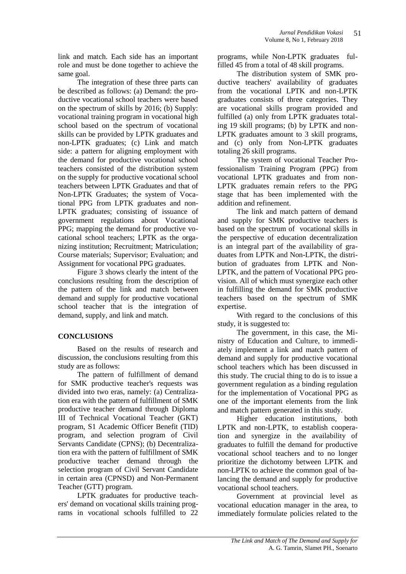link and match. Each side has an important role and must be done together to achieve the same goal.

The integration of these three parts can be described as follows: (a) Demand: the productive vocational school teachers were based on the spectrum of skills by 2016; (b) Supply: vocational training program in vocational high school based on the spectrum of vocational skills can be provided by LPTK graduates and non-LPTK graduates; (c) Link and match side: a pattern for aligning employment with the demand for productive vocational school teachers consisted of the distribution system on the supply for productive vocational school teachers between LPTK Graduates and that of Non-LPTK Graduates; the system of Vocational PPG from LPTK graduates and non-LPTK graduates; consisting of issuance of government regulations about Vocational PPG; mapping the demand for productive vocational school teachers; LPTK as the organizing institution; Recruitment; Matriculation; Course materials; Supervisor; Evaluation; and Assignment for vocational PPG graduates.

Figure 3 shows clearly the intent of the conclusions resulting from the description of the pattern of the link and match between demand and supply for productive vocational school teacher that is the integration of demand, supply, and link and match.

## **CONCLUSIONS**

Based on the results of research and discussion, the conclusions resulting from this study are as follows:

The pattern of fulfillment of demand for SMK productive teacher's requests was divided into two eras, namely: (a) Centralization era with the pattern of fulfillment of SMK productive teacher demand through Diploma III of Technical Vocational Teacher (GKT) program, S1 Academic Officer Benefit (TID) program, and selection program of Civil Servants Candidate (CPNS); (b) Decentralization era with the pattern of fulfillment of SMK productive teacher demand through the selection program of Civil Servant Candidate in certain area (CPNSD) and Non-Permanent Teacher (GTT) program.

LPTK graduates for productive teachers' demand on vocational skills training programs in vocational schools fulfilled to 22 programs, while Non-LPTK graduates fulfilled 45 from a total of 48 skill programs.

The distribution system of SMK productive teachers' availability of graduates from the vocational LPTK and non-LPTK graduates consists of three categories. They are vocational skills program provided and fulfilled (a) only from LPTK graduates totaling 19 skill programs; (b) by LPTK and non-LPTK graduates amount to 3 skill programs, and (c) only from Non-LPTK graduates totaling 26 skill programs.

The system of vocational Teacher Professionalism Training Program (PPG) from vocational LPTK graduates and from non-LPTK graduates remain refers to the PPG stage that has been implemented with the addition and refinement.

The link and match pattern of demand and supply for SMK productive teachers is based on the spectrum of vocational skills in the perspective of education decentralization is an integral part of the availability of graduates from LPTK and Non-LPTK, the distribution of graduates from LPTK and Non-LPTK, and the pattern of Vocational PPG provision. All of which must synergize each other in fulfilling the demand for SMK productive teachers based on the spectrum of SMK expertise.

With regard to the conclusions of this study, it is suggested to:

The government, in this case, the Ministry of Education and Culture, to immediately implement a link and match pattern of demand and supply for productive vocational school teachers which has been discussed in this study. The crucial thing to do is to issue a government regulation as a binding regulation for the implementation of Vocational PPG as one of the important elements from the link and match pattern generated in this study.

Higher education institutions, both LPTK and non-LPTK, to establish cooperation and synergize in the availability of graduates to fulfill the demand for productive vocational school teachers and to no longer prioritize the dichotomy between LPTK and non-LPTK to achieve the common goal of balancing the demand and supply for productive vocational school teachers.

Government at provincial level as vocational education manager in the area, to immediately formulate policies related to the